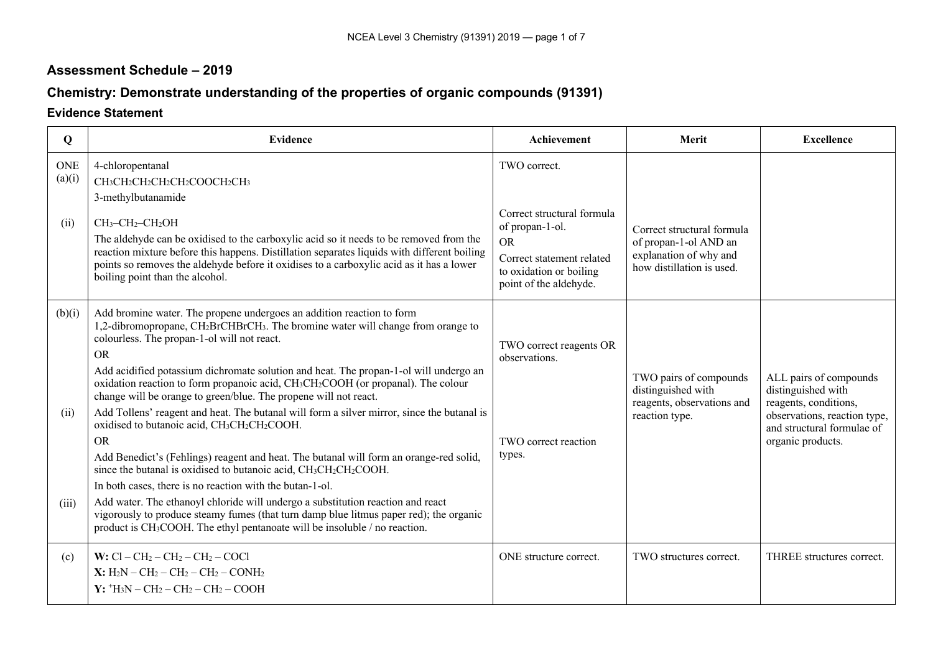# **Assessment Schedule – 2019**

# **Chemistry: Demonstrate understanding of the properties of organic compounds (91391)**

# **Evidence Statement**

| Q          | <b>Evidence</b>                                                                                                                                                                                                                                                                     | Achievement                                                                    | Merit                                                                      | <b>Excellence</b>                                                     |
|------------|-------------------------------------------------------------------------------------------------------------------------------------------------------------------------------------------------------------------------------------------------------------------------------------|--------------------------------------------------------------------------------|----------------------------------------------------------------------------|-----------------------------------------------------------------------|
| <b>ONE</b> | 4-chloropentanal                                                                                                                                                                                                                                                                    | TWO correct.                                                                   |                                                                            |                                                                       |
| (a)(i)     | CH <sub>3</sub> CH <sub>2</sub> CH <sub>2</sub> CH <sub>2</sub> COOCH <sub>2</sub> CH <sub>3</sub>                                                                                                                                                                                  |                                                                                |                                                                            |                                                                       |
|            | 3-methylbutanamide                                                                                                                                                                                                                                                                  |                                                                                |                                                                            |                                                                       |
| (ii)       | CH <sub>3</sub> -CH <sub>2</sub> -CH <sub>2</sub> OH<br>The aldehyde can be oxidised to the carboxylic acid so it needs to be removed from the                                                                                                                                      | Correct structural formula<br>of propan-1-ol.<br><b>OR</b>                     | Correct structural formula<br>of propan-1-ol AND an                        |                                                                       |
|            | reaction mixture before this happens. Distillation separates liquids with different boiling<br>points so removes the aldehyde before it oxidises to a carboxylic acid as it has a lower<br>boiling point than the alcohol.                                                          | Correct statement related<br>to oxidation or boiling<br>point of the aldehyde. | explanation of why and<br>how distillation is used.                        |                                                                       |
| (b)(i)     | Add bromine water. The propene undergoes an addition reaction to form<br>1,2-dibromopropane, CH2BrCHBrCH3. The bromine water will change from orange to<br>colourless. The propan-1-ol will not react.                                                                              | TWO correct reagents OR                                                        |                                                                            |                                                                       |
|            | <b>OR</b><br>Add acidified potassium dichromate solution and heat. The propan-1-ol will undergo an<br>oxidation reaction to form propanoic acid, CH <sub>3</sub> CH <sub>2</sub> COOH (or propanal). The colour<br>change will be orange to green/blue. The propene will not react. | observations.                                                                  | TWO pairs of compounds<br>distinguished with<br>reagents, observations and | ALL pairs of compounds<br>distinguished with<br>reagents, conditions, |
| (ii)       | Add Tollens' reagent and heat. The butanal will form a silver mirror, since the butanal is<br>oxidised to butanoic acid, CH <sub>3</sub> CH <sub>2</sub> CH <sub>2</sub> COOH.                                                                                                      |                                                                                | reaction type.                                                             | observations, reaction type,<br>and structural formulae of            |
|            | <b>OR</b>                                                                                                                                                                                                                                                                           | TWO correct reaction                                                           |                                                                            | organic products.                                                     |
|            | Add Benedict's (Fehlings) reagent and heat. The butanal will form an orange-red solid,<br>since the butanal is oxidised to butanoic acid, CH <sub>3</sub> CH <sub>2</sub> CH <sub>2</sub> COOH.                                                                                     | types.                                                                         |                                                                            |                                                                       |
|            | In both cases, there is no reaction with the butan-1-ol.                                                                                                                                                                                                                            |                                                                                |                                                                            |                                                                       |
| (iii)      | Add water. The ethanoyl chloride will undergo a substitution reaction and react<br>vigorously to produce steamy fumes (that turn damp blue litmus paper red); the organic<br>product is CH <sub>3</sub> COOH. The ethyl pentanoate will be insoluble / no reaction.                 |                                                                                |                                                                            |                                                                       |
| (c)        | W: $Cl - CH_2 - CH_2 - CH_2 - COCl$                                                                                                                                                                                                                                                 | ONE structure correct.                                                         | TWO structures correct.                                                    | THREE structures correct.                                             |
|            | $X: H_2N - CH_2 - CH_2 - CH_2 - CONH_2$                                                                                                                                                                                                                                             |                                                                                |                                                                            |                                                                       |
|            | $Y: H_3N-CH_2-CH_2-CH_2-COOH$                                                                                                                                                                                                                                                       |                                                                                |                                                                            |                                                                       |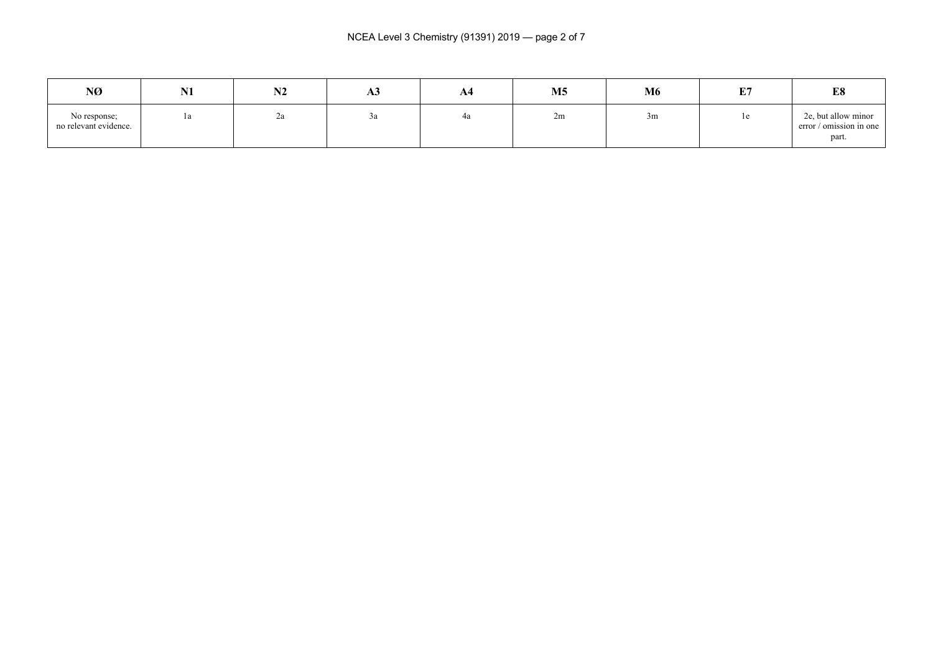| NØ                                    | N1 | <b>BIA</b><br>174 | ЖJ | A4 | M <sub>5</sub> | M6 | E7 | E8                                                      |
|---------------------------------------|----|-------------------|----|----|----------------|----|----|---------------------------------------------------------|
| No response;<br>no relevant evidence. | 1a | ۷a                | Ja | 4a | 2m             | 3m | 1e | 2e, but allow minor<br>error / omission in one<br>part. |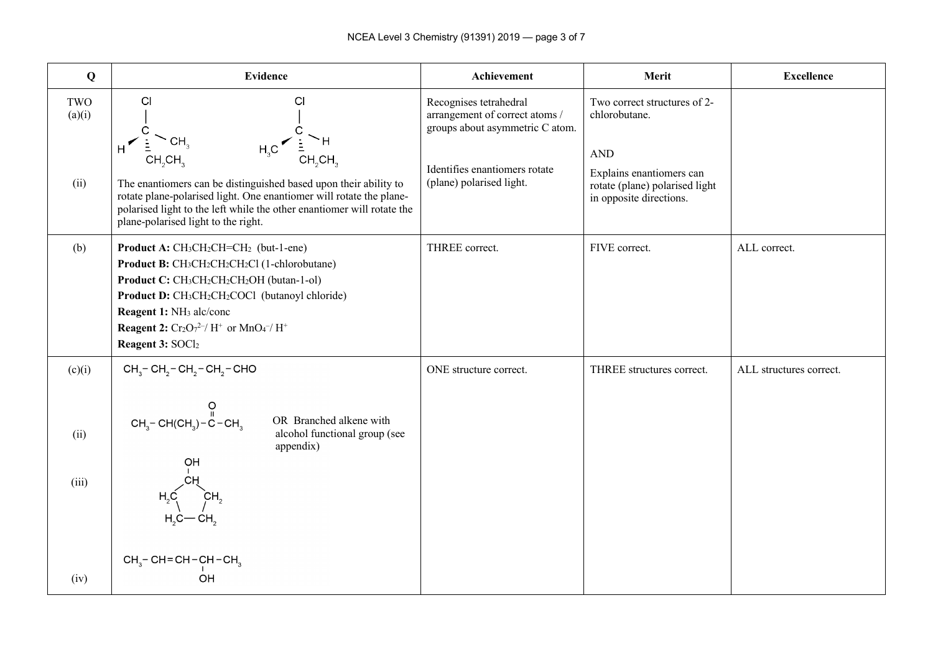| Q                               | <b>Evidence</b>                                                                                                                                                                                                                                                                                                                                                                                                                                                                      | Achievement                                                                                                                                              | Merit                                                                                                                                                | <b>Excellence</b>       |
|---------------------------------|--------------------------------------------------------------------------------------------------------------------------------------------------------------------------------------------------------------------------------------------------------------------------------------------------------------------------------------------------------------------------------------------------------------------------------------------------------------------------------------|----------------------------------------------------------------------------------------------------------------------------------------------------------|------------------------------------------------------------------------------------------------------------------------------------------------------|-------------------------|
| TWO<br>(a)(i)<br>(ii)           | CI<br>C <sub>1</sub><br>$H_3C \leftarrow \frac{1}{2} H$<br>CH <sub>2</sub> CH <sub>3</sub><br>CH <sub>2</sub> CH <sub>2</sub><br>The enantiomers can be distinguished based upon their ability to<br>rotate plane-polarised light. One enantiomer will rotate the plane-<br>polarised light to the left while the other enantiomer will rotate the<br>plane-polarised light to the right.                                                                                            | Recognises tetrahedral<br>arrangement of correct atoms /<br>groups about asymmetric C atom.<br>Identifies enantiomers rotate<br>(plane) polarised light. | Two correct structures of 2-<br>chlorobutane.<br><b>AND</b><br>Explains enantiomers can<br>rotate (plane) polarised light<br>in opposite directions. |                         |
| (b)                             | Product A: CH <sub>3</sub> CH <sub>2</sub> CH=CH <sub>2</sub> (but-1-ene)<br>Product B: CH <sub>3</sub> CH <sub>2</sub> CH <sub>2</sub> CH <sub>2</sub> Cl (1-chlorobutane)<br>Product C: CH <sub>3</sub> CH <sub>2</sub> CH <sub>2</sub> CH <sub>2</sub> OH (butan-1-ol)<br>Product D: CH <sub>3</sub> CH <sub>2</sub> CH <sub>2</sub> COCl (butanoyl chloride)<br>Reagent 1: NH <sub>3</sub> alc/conc<br><b>Reagent 2:</b> $Cr_2O_7^{2-}/H^+$ or $MnO_4^-/H^+$<br>Reagent 3: SOCl2 | THREE correct.                                                                                                                                           | FIVE correct.                                                                                                                                        | ALL correct.            |
| (c)(i)<br>(ii)<br>(iii)<br>(iv) | $CH3$ – CH <sub>2</sub> – CH <sub>2</sub> – CH <sub>2</sub> – CHO<br>$\mathsf{CH}_{_3}{\mathsf{-}\operatorname{CH}(\operatorname{CH}_{_3}{\mathsf{-}\operatorname{C}}{\mathsf{-}\operatorname{CH}_{_3}}$<br>$\mathsf{CH}_{_3}{\mathsf{-}\operatorname{CH}(\operatorname{CH}_{_3}{\mathsf{-}\operatorname{C}}{\mathsf{-}\operatorname{CH}_{_3}}$<br>OR Branched alkene with<br>alcohol functional group (see<br>appendix)<br>OH<br>$CH_3$ - CH = CH - CH - CH <sub>3</sub><br>OH      | ONE structure correct.                                                                                                                                   | THREE structures correct.                                                                                                                            | ALL structures correct. |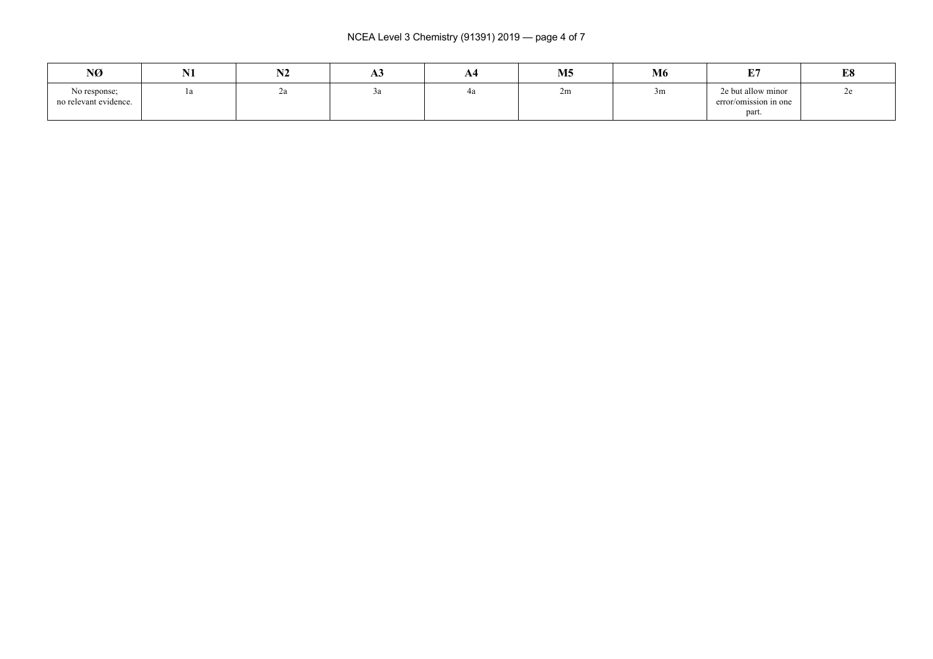NCEA Level 3 Chemistry (91391) 2019 — page 4 of 7

| NØ                                    | <b>BT4</b><br>NI | . | ЛJ | A4                       | M <sub>5</sub> | <b>M6</b> | 亚克                                                                                          | <b>L</b> O<br>LO |
|---------------------------------------|------------------|---|----|--------------------------|----------------|-----------|---------------------------------------------------------------------------------------------|------------------|
| No response;<br>no relevant evidence. | $\mathbf{u}$     | ∸ |    | $\overline{\phantom{a}}$ | 2m             | 3m        | 2e but allow minor<br>the contract of the contract of the<br>error/omission in one<br>part. | ້                |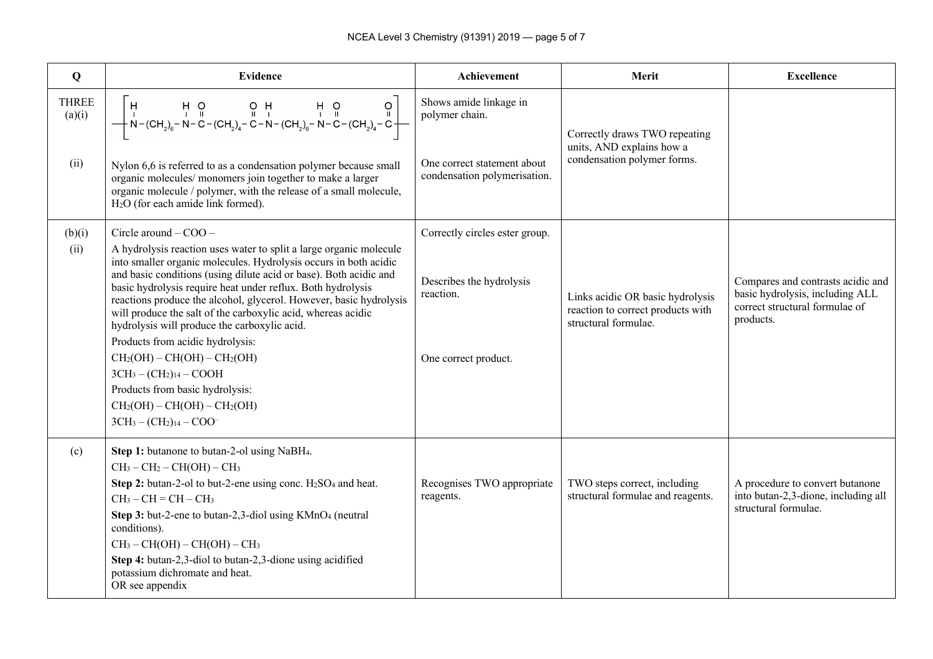| Q                              | <b>Evidence</b>                                                                                                                                                                                                                                                                                                                                                                                                                                                                                                                                                                                                                                                                                       | <b>Achievement</b>                                                                                      | Merit                                                                                         | <b>Excellence</b>                                                                                                   |
|--------------------------------|-------------------------------------------------------------------------------------------------------------------------------------------------------------------------------------------------------------------------------------------------------------------------------------------------------------------------------------------------------------------------------------------------------------------------------------------------------------------------------------------------------------------------------------------------------------------------------------------------------------------------------------------------------------------------------------------------------|---------------------------------------------------------------------------------------------------------|-----------------------------------------------------------------------------------------------|---------------------------------------------------------------------------------------------------------------------|
| <b>THREE</b><br>(a)(i)<br>(ii) | $\left[\begin{array}{cccc} H & H & O & O & H & H & O & O \\ \cdot & \cdot & \cdot & \cdot & \cdot & \cdot & \cdot & \cdot & \cdot \\ +N-(CH_{2})_{6} - N-C-(CH_{2})_{4} - C-N-(CH_{2})_{6} - N-C-(CH_{2})_{4} - C & - \cdot & \cdot & \cdot & \cdot \\ \end{array}\right]$<br>Nylon 6,6 is referred to as a condensation polymer because small<br>organic molecules/ monomers join together to make a larger<br>organic molecule / polymer, with the release of a small molecule,<br>$H2O$ (for each amide link formed).                                                                                                                                                                              | Shows amide linkage in<br>polymer chain.<br>One correct statement about<br>condensation polymerisation. | Correctly draws TWO repeating<br>units, AND explains how a<br>condensation polymer forms.     |                                                                                                                     |
| (b)(i)<br>(ii)                 | Circle around $-$ COO $-$<br>A hydrolysis reaction uses water to split a large organic molecule<br>into smaller organic molecules. Hydrolysis occurs in both acidic<br>and basic conditions (using dilute acid or base). Both acidic and<br>basic hydrolysis require heat under reflux. Both hydrolysis<br>reactions produce the alcohol, glycerol. However, basic hydrolysis<br>will produce the salt of the carboxylic acid, whereas acidic<br>hydrolysis will produce the carboxylic acid.<br>Products from acidic hydrolysis:<br>$CH2(OH) – CH(OH) – CH2(OH)$<br>$3CH_3 - (CH_2)_{14} - COOH$<br>Products from basic hydrolysis:<br>$CH2(OH) – CH(OH) – CH2(OH)$<br>$3CH_3 - (CH_2)_{14} - COO^-$ | Correctly circles ester group.<br>Describes the hydrolysis<br>reaction.<br>One correct product.         | Links acidic OR basic hydrolysis<br>reaction to correct products with<br>structural formulae. | Compares and contrasts acidic and<br>basic hydrolysis, including ALL<br>correct structural formulae of<br>products. |
| (c)                            | Step 1: butanone to butan-2-ol using NaBH <sub>4</sub> .<br>$CH3 - CH2 - CH(OH) - CH3$<br>Step 2: butan-2-ol to but-2-ene using conc. $H_2SO_4$ and heat.<br>$CH3 - CH = CH - CH3$<br>Step 3: but-2-ene to butan-2,3-diol using KMnO <sub>4</sub> (neutral<br>conditions).<br>$CH3 - CH(OH) - CH(OH) - CH3$<br>Step 4: butan-2,3-diol to butan-2,3-dione using acidified<br>potassium dichromate and heat.<br>OR see appendix                                                                                                                                                                                                                                                                         | Recognises TWO appropriate<br>reagents.                                                                 | TWO steps correct, including<br>structural formulae and reagents.                             | A procedure to convert butanone<br>into butan-2,3-dione, including all<br>structural formulae.                      |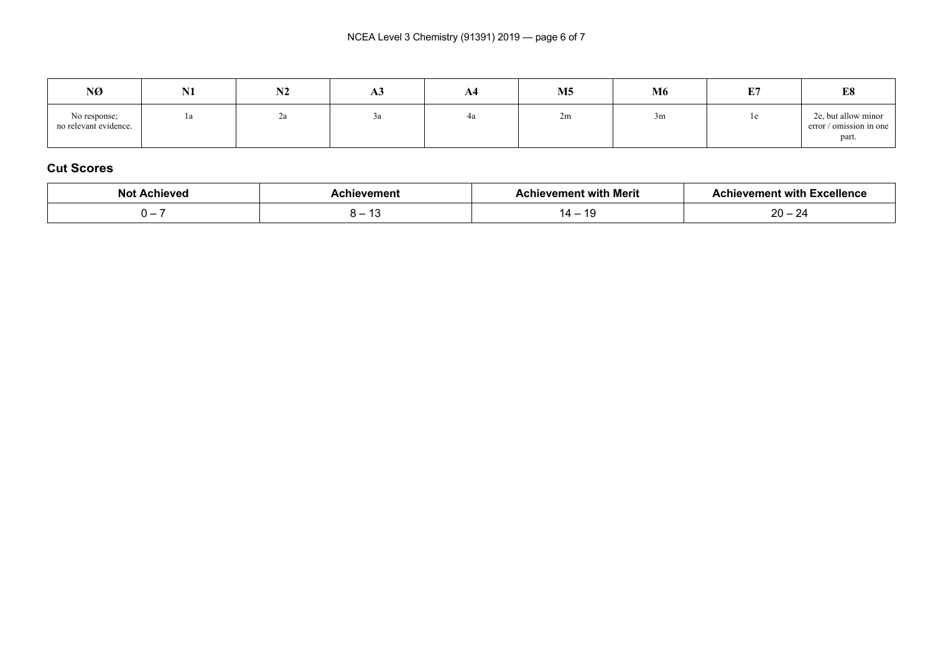| NØ                                    | <b>NT4</b><br>141 | <b>BIA</b><br>NZ | ДJ | A4 | M <sub>5</sub> | M6 | <b>THE</b><br><u>ы</u> | E8                                                      |
|---------------------------------------|-------------------|------------------|----|----|----------------|----|------------------------|---------------------------------------------------------|
| No response;<br>no relevant evidence. | la                | ∠a               |    | 4a | 2m             | 3m | $_{1e}$                | 2e, but allow minor<br>error / omission in one<br>part. |

### **Cut Scores**

| <b>Achieved</b><br><b>Not</b>   | <b>.chievement</b> | hievement with Merit:  | ا Excellence<br><b>Achievement with</b> |
|---------------------------------|--------------------|------------------------|-----------------------------------------|
| $\overline{\phantom{a}}$<br>. . | ՝                  | -10<br>$\sqrt{1}$<br>. | nn<br>- ت<br><b>1</b>                   |